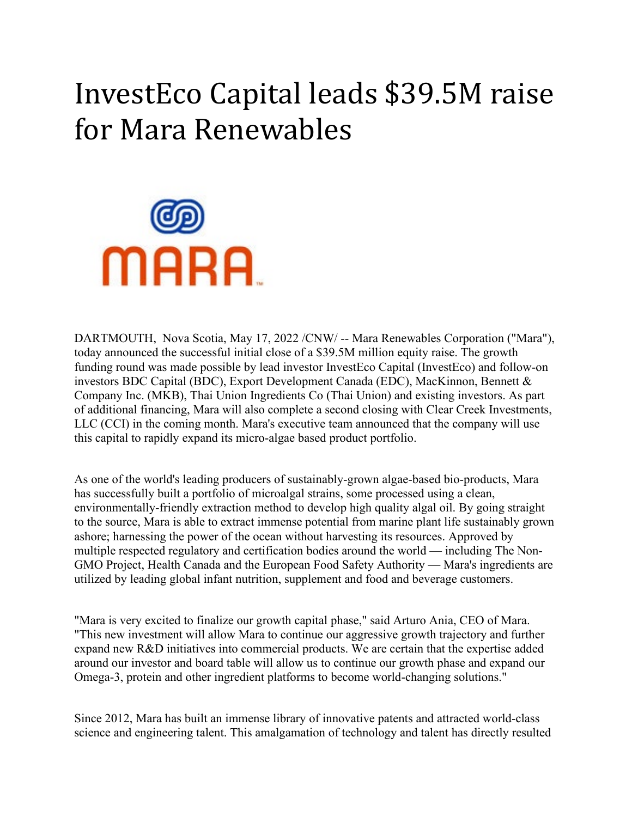## InvestEco Capital leads \$39.5M raise for Mara Renewables



DARTMOUTH, Nova Scotia, May 17, 2022 /CNW/ -- Mara Renewables Corporation ("Mara"), today announced the successful initial close of a \$39.5M million equity raise. The growth funding round was made possible by lead investor InvestEco Capital (InvestEco) and follow-on investors BDC Capital (BDC), Export Development Canada (EDC), MacKinnon, Bennett & Company Inc. (MKB), Thai Union Ingredients Co (Thai Union) and existing investors. As part of additional financing, Mara will also complete a second closing with Clear Creek Investments, LLC (CCI) in the coming month. Mara's executive team announced that the company will use this capital to rapidly expand its micro-algae based product portfolio.

As one of the world's leading producers of sustainably-grown algae-based bio-products, Mara has successfully built a portfolio of microalgal strains, some processed using a clean, environmentally-friendly extraction method to develop high quality algal oil. By going straight to the source, Mara is able to extract immense potential from marine plant life sustainably grown ashore; harnessing the power of the ocean without harvesting its resources. Approved by multiple respected regulatory and certification bodies around the world — including The Non-GMO Project, Health Canada and the European Food Safety Authority — Mara's ingredients are utilized by leading global infant nutrition, supplement and food and beverage customers.

"Mara is very excited to finalize our growth capital phase," said Arturo Ania, CEO of Mara. "This new investment will allow Mara to continue our aggressive growth trajectory and further expand new R&D initiatives into commercial products. We are certain that the expertise added around our investor and board table will allow us to continue our growth phase and expand our Omega-3, protein and other ingredient platforms to become world-changing solutions."

Since 2012, Mara has built an immense library of innovative patents and attracted world-class science and engineering talent. This amalgamation of technology and talent has directly resulted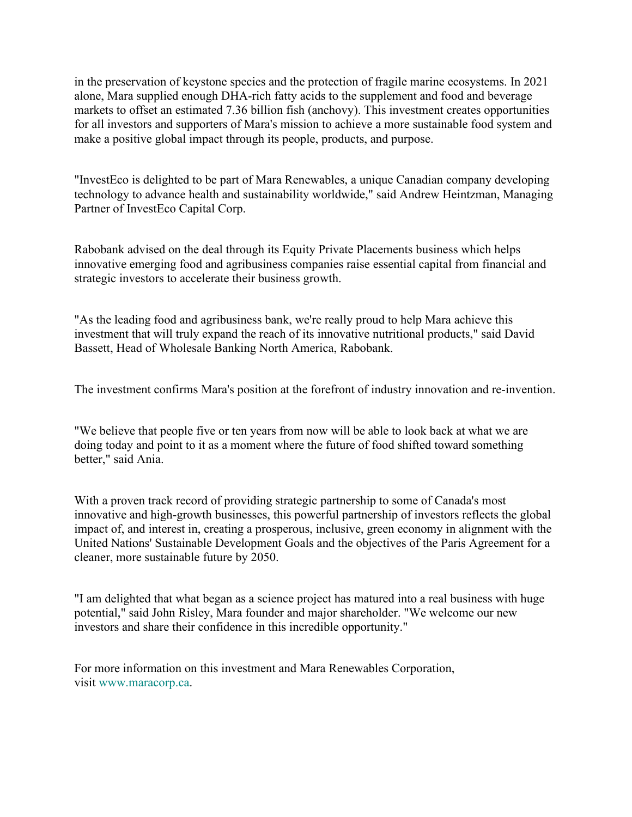in the preservation of keystone species and the protection of fragile marine ecosystems. In 2021 alone, Mara supplied enough DHA-rich fatty acids to the supplement and food and beverage markets to offset an estimated 7.36 billion fish (anchovy). This investment creates opportunities for all investors and supporters of Mara's mission to achieve a more sustainable food system and make a positive global impact through its people, products, and purpose.

"InvestEco is delighted to be part of Mara Renewables, a unique Canadian company developing technology to advance health and sustainability worldwide," said Andrew Heintzman, Managing Partner of InvestEco Capital Corp.

Rabobank advised on the deal through its Equity Private Placements business which helps innovative emerging food and agribusiness companies raise essential capital from financial and strategic investors to accelerate their business growth.

"As the leading food and agribusiness bank, we're really proud to help Mara achieve this investment that will truly expand the reach of its innovative nutritional products," said David Bassett, Head of Wholesale Banking North America, Rabobank.

The investment confirms Mara's position at the forefront of industry innovation and re-invention.

"We believe that people five or ten years from now will be able to look back at what we are doing today and point to it as a moment where the future of food shifted toward something better," said Ania.

With a proven track record of providing strategic partnership to some of Canada's most innovative and high-growth businesses, this powerful partnership of investors reflects the global impact of, and interest in, creating a prosperous, inclusive, green economy in alignment with the United Nations' Sustainable Development Goals and the objectives of the Paris Agreement for a cleaner, more sustainable future by 2050.

"I am delighted that what began as a science project has matured into a real business with huge potential," said John Risley, Mara founder and major shareholder. "We welcome our new investors and share their confidence in this incredible opportunity."

For more information on this investment and Mara Renewables Corporation, visit [www.maracorp.ca.](https://c212.net/c/link/?t=0&l=en&o=3539537-1&h=2934126364&u=http%3A%2F%2Fwww.maracorp.ca%2F&a=www.maracorp.ca)